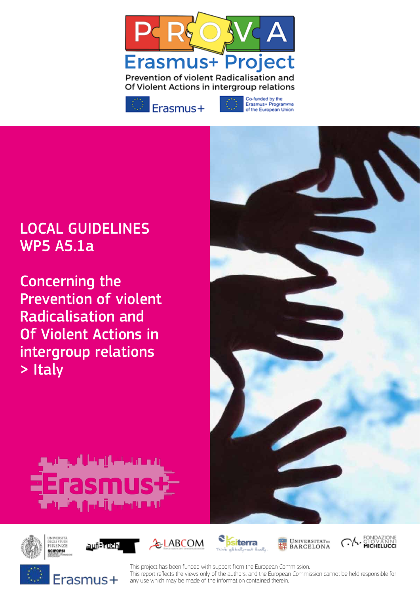



Co-funded by the Erasmus+ Programme<br>of the European Union

# LOCAL GUIDELINES WP5 A5.1a

Concerning the Prevention of violent Radicalisation and Of Violent Actions in intergroup relations > Italy

















This project has been funded with support from the European Commission. This report refects the views only of the authors, and the European Commission cannot be held responsible for any use which may be made of the information contained therein.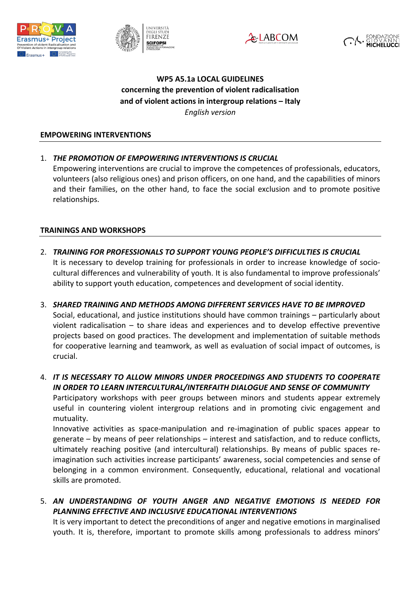







# **WP5 A5.1a LOCAL GUIDELINES**  concerning the prevention of violent radicalisation and of violent actions in intergroup relations – Italy *English version*

#### **EMPOWERING INTERVENTIONS**

1. *THE PROMOTION OF EMPOWERING INTERVENTIONS IS CRUCIAL* 

Empowering interventions are crucial to improve the competences of professionals, educators, volunteers (also religious ones) and prison officers, on one hand, and the capabilities of minors and their families, on the other hand, to face the social exclusion and to promote positive relationships.

## **TRAININGS AND WORKSHOPS**

- 2. **TRAINING FOR PROFESSIONALS TO SUPPORT YOUNG PEOPLE'S DIFFICULTIES IS CRUCIAL** It is necessary to develop training for professionals in order to increase knowledge of sociocultural differences and vulnerability of youth. It is also fundamental to improve professionals' ability to support youth education, competences and development of social identity.
- 3. SHARED TRAINING AND METHODS AMONG DIFFERENT SERVICES HAVE TO BE IMPROVED Social, educational, and justice institutions should have common trainings – particularly about violent radicalisation  $-$  to share ideas and experiences and to develop effective preventive projects based on good practices. The development and implementation of suitable methods for cooperative learning and teamwork, as well as evaluation of social impact of outcomes, is crucial.

4. IT IS NECESSARY TO ALLOW MINORS UNDER PROCEEDINGS AND STUDENTS TO COOPERATE IN ORDER TO LEARN INTERCULTURAL/INTERFAITH DIALOGUE AND SENSE OF COMMUNITY Participatory workshops with peer groups between minors and students appear extremely useful in countering violent intergroup relations and in promoting civic engagement and mutuality.

Innovative activities as space-manipulation and re-imagination of public spaces appear to generate  $-$  by means of peer relationships  $-$  interest and satisfaction, and to reduce conflicts, ultimately reaching positive (and intercultural) relationships. By means of public spaces reimagination such activities increase participants' awareness, social competencies and sense of belonging in a common environment. Consequently, educational, relational and vocational skills are promoted.

5. *AN UNDERSTANDING OF YOUTH ANGER AND NEGATIVE EMOTIONS IS NEEDED FOR*  **PLANNING EFFECTIVE AND INCLUSIVE EDUCATIONAL INTERVENTIONS** 

It is very important to detect the preconditions of anger and negative emotions in marginalised youth. It is, therefore, important to promote skills among professionals to address minors'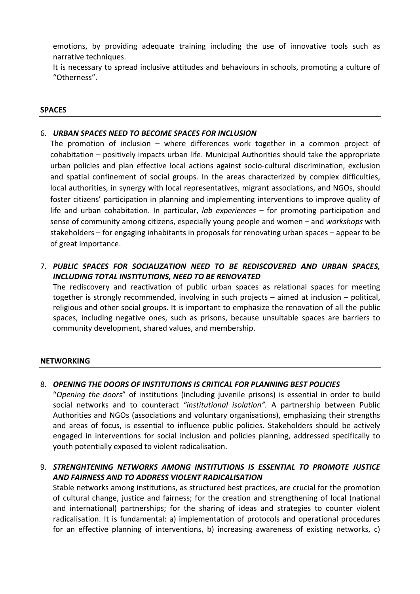emotions, by providing adequate training including the use of innovative tools such as narrative techniques.

It is necessary to spread inclusive attitudes and behaviours in schools, promoting a culture of "Otherness".

#### **SPACES**

## 6. *URBAN SPACES NEED TO BECOME SPACES FOR INCLUSION*

The promotion of inclusion – where differences work together in a common project of cohabitation – positively impacts urban life. Municipal Authorities should take the appropriate urban policies and plan effective local actions against socio-cultural discrimination, exclusion and spatial confinement of social groups. In the areas characterized by complex difficulties, local authorities, in synergy with local representatives, migrant associations, and NGOs, should foster citizens' participation in planning and implementing interventions to improve quality of life and urban cohabitation. In particular, *lab experiences* – for promoting participation and sense of community among citizens, especially young people and women – and *workshops* with stakeholders – for engaging inhabitants in proposals for renovating urban spaces – appear to be of great importance.

7. PUBLIC SPACES FOR SOCIALIZATION NEED TO BE REDISCOVERED AND URBAN SPACES, **INCLUDING TOTAL INSTITUTIONS, NEED TO BE RENOVATED** 

The rediscovery and reactivation of public urban spaces as relational spaces for meeting together is strongly recommended, involving in such projects  $-$  aimed at inclusion  $-$  political, religious and other social groups. It is important to emphasize the renovation of all the public spaces, including negative ones, such as prisons, because unsuitable spaces are barriers to community development, shared values, and membership.

#### **NETWORKING**

## 8. *OPENING THE DOORS OF INSTITUTIONS IS CRITICAL FOR PLANNING BEST POLICIES*

"Opening the doors" of institutions (including juvenile prisons) is essential in order to build social networks and to counteract "institutional *isolation"*. A partnership between Public Authorities and NGOs (associations and voluntary organisations), emphasizing their strengths and areas of focus, is essential to influence public policies. Stakeholders should be actively engaged in interventions for social inclusion and policies planning, addressed specifically to youth potentially exposed to violent radicalisation.

9. *STRENGHTENING NETWORKS AMONG INSTITUTIONS IS ESSENTIAL TO PROMOTE JUSTICE AND FAIRNESS AND TO ADDRESS VIOLENT RADICALISATION*

Stable networks among institutions, as structured best practices, are crucial for the promotion of cultural change, justice and fairness; for the creation and strengthening of local (national and international) partnerships; for the sharing of ideas and strategies to counter violent radicalisation. It is fundamental: a) implementation of protocols and operational procedures for an effective planning of interventions, b) increasing awareness of existing networks, c)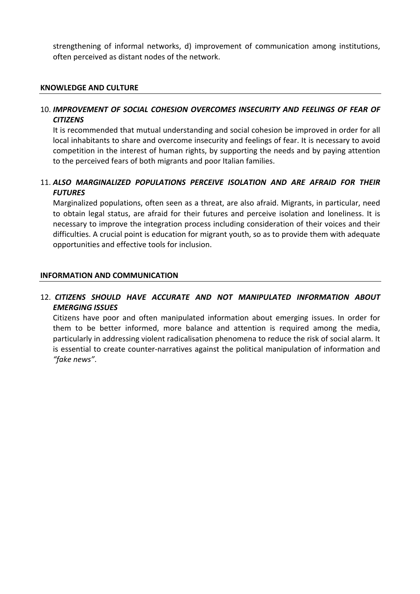strengthening of informal networks, d) improvement of communication among institutions, often perceived as distant nodes of the network.

#### **KNOWLEDGE AND CULTURE**

## 10. *IMPROVEMENT OF SOCIAL COHESION OVERCOMES INSECURITY AND FEELINGS OF FEAR OF CITIZENS*

It is recommended that mutual understanding and social cohesion be improved in order for all local inhabitants to share and overcome insecurity and feelings of fear. It is necessary to avoid competition in the interest of human rights, by supporting the needs and by paying attention to the perceived fears of both migrants and poor Italian families.

# 11. *ALSO MARGINALIZED POPULATIONS PERCEIVE ISOLATION AND ARE AFRAID FOR THEIR FUTURES*

Marginalized populations, often seen as a threat, are also afraid. Migrants, in particular, need to obtain legal status, are afraid for their futures and perceive isolation and loneliness. It is necessary to improve the integration process including consideration of their voices and their difficulties. A crucial point is education for migrant youth, so as to provide them with adequate opportunities and effective tools for inclusion.

#### **INFORMATION AND COMMUNICATION**

# 12. *CITIZENS SHOULD HAVE ACCURATE AND NOT MANIPULATED INFORMATION ABOUT*  **EMERGING ISSUES**

Citizens have poor and often manipulated information about emerging issues. In order for them to be better informed, more balance and attention is required among the media, particularly in addressing violent radicalisation phenomena to reduce the risk of social alarm. It is essential to create counter-narratives against the political manipulation of information and *"fake news"*.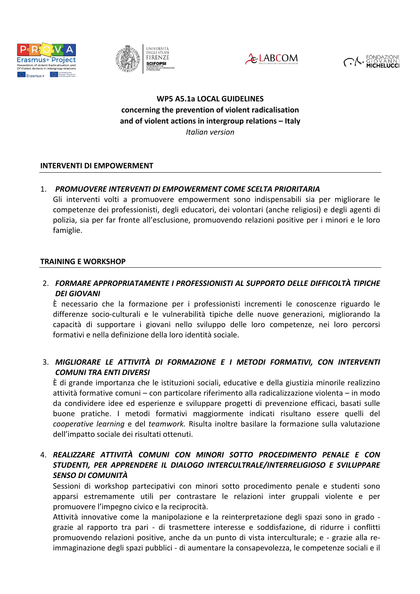





# **WP5 A5.1a LOCAL GUIDELINES**  concerning the prevention of violent radicalisation and of violent actions in intergroup relations - Italy *Italian version*

## **INTERVENTI DI EMPOWERMENT**

# 1. PROMUOVERE INTERVENTI DI EMPOWERMENT COME SCELTA PRIORITARIA

Gli interventi volti a promuovere empowerment sono indispensabili sia per migliorare le competenze dei professionisti, degli educatori, dei volontari (anche religiosi) e degli agenti di polizia, sia per far fronte all'esclusione, promuovendo relazioni positive per i minori e le loro famiglie.

## **TRAINING E WORKSHOP**

# 2. FORMARE APPROPRIATAMENTE I PROFESSIONISTI AL SUPPORTO DELLE DIFFICOLTÀ TIPICHE *DEI GIOVANI*

È necessario che la formazione per i professionisti incrementi le conoscenze riguardo le differenze socio-culturali e le vulnerabilità tipiche delle nuove generazioni, migliorando la capacità di supportare i giovani nello sviluppo delle loro competenze, nei loro percorsi formativi e nella definizione della loro identità sociale.

# 3. *MIGLIORARE LE ATTIVITÀ DI FORMAZIONE E I METODI FORMATIVI, CON INTERVENTI COMUNI TRA ENTI DIVERSI*

È di grande importanza che le istituzioni sociali, educative e della giustizia minorile realizzino attività formative comuni – con particolare riferimento alla radicalizzazione violenta – in modo da condividere idee ed esperienze e sviluppare progetti di prevenzione efficaci, basati sulle buone pratiche. I metodi formativi maggiormente indicati risultano essere quelli del *cooperative learning* e del *teamwork*. Risulta inoltre basilare la formazione sulla valutazione dell'impatto sociale dei risultati ottenuti.

# 4. REALIZZARE ATTIVITÀ COMUNI CON MINORI SOTTO PROCEDIMENTO PENALE E CON STUDENTI, PER APPRENDERE IL DIALOGO INTERCULTRALE/INTERRELIGIOSO E SVILUPPARE *SENSO DI COMUNITÀ*

Sessioni di workshop partecipativi con minori sotto procedimento penale e studenti sono apparsi estremamente utili per contrastare le relazioni inter gruppali violente e per promuovere l'impegno civico e la reciprocità.

Attività innovative come la manipolazione e la reinterpretazione degli spazi sono in grado grazie al rapporto tra pari - di trasmettere interesse e soddisfazione, di ridurre i conflitti promuovendo relazioni positive, anche da un punto di vista interculturale; e - grazie alla reimmaginazione degli spazi pubblici - di aumentare la consapevolezza, le competenze sociali e il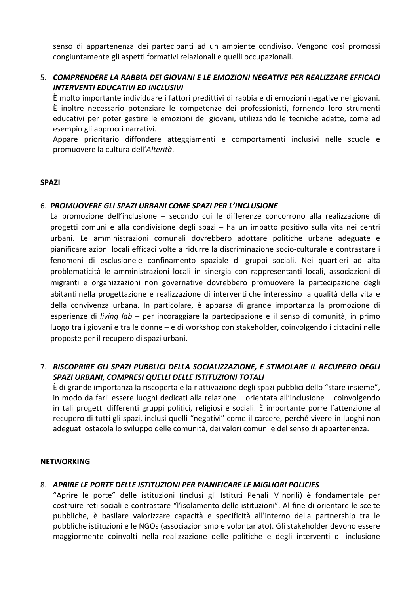senso di appartenenza dei partecipanti ad un ambiente condiviso. Vengono così promossi congiuntamente gli aspetti formativi relazionali e quelli occupazionali.

# 5. **COMPRENDERE LA RABBIA DEI GIOVANI E LE EMOZIONI NEGATIVE PER REALIZZARE EFFICACI INTERVENTI EDUCATIVI ED INCLUSIVI**

È molto importante individuare i fattori predittivi di rabbia e di emozioni negative nei giovani. È inoltre necessario potenziare le competenze dei professionisti, fornendo loro strumenti educativi per poter gestire le emozioni dei giovani, utilizzando le tecniche adatte, come ad esempio gli approcci narrativi.

Appare prioritario diffondere atteggiamenti e comportamenti inclusivi nelle scuole e promuovere la cultura dell'*Alterità*.

#### **SPAZI**

## 6. PROMUOVERE GLI SPAZI URBANI COME SPAZI PER L'INCLUSIONE

La promozione dell'inclusione – secondo cui le differenze concorrono alla realizzazione di progetti comuni e alla condivisione degli spazi – ha un impatto positivo sulla vita nei centri urbani. Le amministrazioni comunali dovrebbero adottare politiche urbane adeguate e pianificare azioni locali efficaci volte a ridurre la discriminazione socio-culturale e contrastare i fenomeni di esclusione e confinamento spaziale di gruppi sociali. Nei quartieri ad alta problematicità le amministrazioni locali in sinergia con rappresentanti locali, associazioni di migranti e organizzazioni non governative dovrebbero promuovere la partecipazione degli abitanti nella progettazione e realizzazione di interventi che interessino la qualità della vita e della convivenza urbana. In particolare, è apparsa di grande importanza la promozione di esperienze di *living lab* – per incoraggiare la partecipazione e il senso di comunità, in primo luogo tra i giovani e tra le donne – e di workshop con stakeholder, coinvolgendo i cittadini nelle proposte per il recupero di spazi urbani.

# 7. RISCOPRIRE GLI SPAZI PUBBLICI DELLA SOCIALIZZAZIONE, E STIMOLARE IL RECUPERO DEGLI SPAZI URBANI, COMPRESI QUELLI DELLE ISTITUZIONI TOTALI

 $\dot{E}$  di grande importanza la riscoperta e la riattivazione degli spazi pubblici dello "stare insieme", in modo da farli essere luoghi dedicati alla relazione – orientata all'inclusione – coinvolgendo in tali progetti differenti gruppi politici, religiosi e sociali. È importante porre l'attenzione al recupero di tutti gli spazi, inclusi quelli "negativi" come il carcere, perché vivere in luoghi non adeguati ostacola lo sviluppo delle comunità, dei valori comuni e del senso di appartenenza.

## **NETWORKING**

# 8. APRIRE LE PORTE DELLE ISTITUZIONI PER PIANIFICARE LE MIGLIORI POLICIES

"Aprire le porte" delle istituzioni (inclusi gli Istituti Penali Minorili) è fondamentale per costruire reti sociali e contrastare "l'isolamento delle istituzioni". Al fine di orientare le scelte pubbliche, è basilare valorizzare capacità e specificità all'interno della partnership tra le pubbliche istituzioni e le NGOs (associazionismo e volontariato). Gli stakeholder devono essere maggiormente coinvolti nella realizzazione delle politiche e degli interventi di inclusione